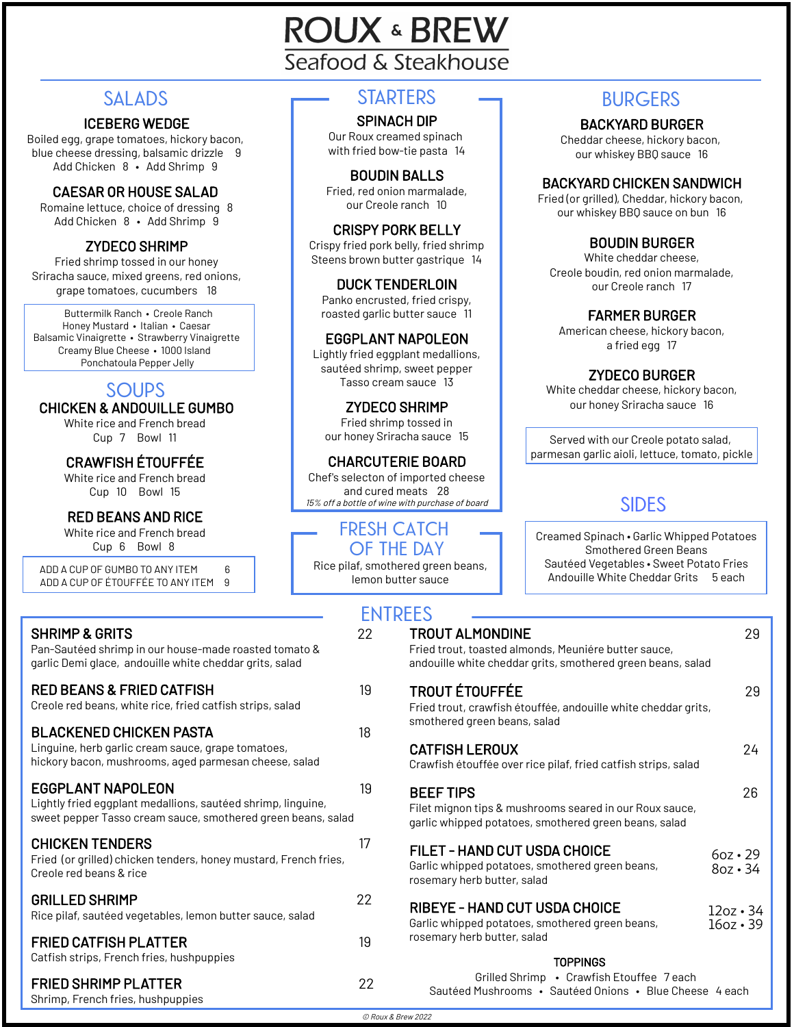# **ROUX & BREW** Seafood & Steakhouse

#### ICEBERG WEDGE

Boiled egg, grape tomatoes, hickory bacon, blue cheese dressing, balsamic drizzle 9 Add Chicken 8 • Add Shrimp 9

#### CAESAR OR HOUSE SALAD

Romaine lettuce, choice of dressing 8 Add Chicken 8 • Add Shrimp 9

#### ZYDECO SHRIMP

Fried shrimp tossed in our honey Sriracha sauce, mixed greens, red onions, grape tomatoes, cucumbers 18

Buttermilk Ranch • Creole Ranch Honey Mustard • Italian • Caesar Balsamic Vinaigrette • Strawberry Vinaigrette Creamy Blue Cheese • 1000 Island Ponchatoula Pepper Jelly

## **SOUPS**

CHICKEN & ANDOUILLE GUMBO

White rice and French bread Cup 7 Bowl 11

### CRAWFISH ÉTOUFFÉE

White rice and French bread Cup 10 Bowl 15

#### RED BEANS AND RICE

White rice and French bread Cup 6 Bowl 8

ADD A CUP OF GUMBO TO ANY ITEM 6 ADD A CUP OF ÉTOUFFÉE TO ANY ITEM 9

| <b>SHRIMP &amp; GRITS</b><br>Pan-Sautéed shrimp in our house-made roasted tomato &<br>garlic Demi glace, andouille white cheddar grits, salad            | - 1<br>22. |
|----------------------------------------------------------------------------------------------------------------------------------------------------------|------------|
| <b>RED BEANS &amp; FRIED CATFISH</b><br>Creole red beans, white rice, fried catfish strips, salad                                                        | 19         |
| <b>BLACKENED CHICKEN PASTA</b><br>Linguine, herb garlic cream sauce, grape tomatoes,<br>hickory bacon, mushrooms, aged parmesan cheese, salad            | 18         |
| <b>EGGPLANT NAPOLEON</b><br>Lightly fried eggplant medallions, sautéed shrimp, linguine,<br>sweet pepper Tasso cream sauce, smothered green beans, salad | 19         |
| <b>CHICKEN TENDERS</b><br>Fried (or grilled) chicken tenders, honey mustard, French fries,<br>Creole red beans & rice                                    | 17         |
| <b>GRILLED SHRIMP</b><br>Rice pilaf, sautéed vegetables, lemon butter sauce, salad                                                                       | 22         |
| <b>FRIED CATFISH PLATTER</b><br>Catfish strips, French fries, hushpuppies                                                                                | 19         |
| <b>FRIED SHRIMP PLATTER</b>                                                                                                                              | 22         |

#### **STARTERS SALADS BURGERS**

#### SPINACH DIP

Our Roux creamed spinach with fried bow-tie pasta 14

BOUDIN BALLS Fried, red onion marmalade, our Creole ranch 10

CRISPY PORK BELLY Crispy fried pork belly, fried shrimp Steens brown butter gastrique 14

DUCK TENDERLOIN Panko encrusted, fried crispy, roasted garlic butter sauce 11

#### EGGPLANT NAPOLEON

Lightly fried eggplant medallions, sautéed shrimp, sweet pepper Tasso cream sauce 13

ZYDECO SHRIMP Fried shrimp tossed in our honey Sriracha sauce 15

CHARCUTERIE BOARD Chef's selecton of imported cheese and cured meats 28 15% off <sup>a</sup> bottle of wine with purchase of board

#### **FRESH CATCH OF THE DAY**

Rice pilaf, smothered green beans, lemon butter sauce

BACKYARD BURGER

Cheddar cheese, hickory bacon, our whiskey BBQ sauce 16

#### BACKYARD CHICKEN SANDWICH

Fried (or grilled), Cheddar, hickory bacon, our whiskey BBQ sauce on bun 16

#### BOUDIN BURGER

White cheddar cheese, Creole boudin, red onion marmalade, our Creole ranch 17

FARMER BURGER

American cheese, hickory bacon, a fried egg 17

ZYDECO BURGER

White cheddar cheese, hickory bacon, our honey Sriracha sauce 16

Served with our Creole potato salad, parmesan garlic aioli, lettuce, tomato, pickle

## **SIDES**

Creamed Spinach • Garlic Whipped Potatoes Smothered Green Beans Sautéed Vegetables • Sweet Potato Fries Andouille White Cheddar Grits 5 each

| <b>ENTREES</b> |                                                                                                                                               |                                    |
|----------------|-----------------------------------------------------------------------------------------------------------------------------------------------|------------------------------------|
| 22             | <b>TROUT ALMONDINE</b><br>Fried trout, toasted almonds, Meuniére butter sauce,<br>andouille white cheddar grits, smothered green beans, salad | 29                                 |
| 19<br>18       | <b>TROUT ÉTOUFFÉE</b><br>Fried trout, crawfish étouffée, andouille white cheddar grits,<br>smothered green beans, salad                       | 29                                 |
|                | <b>CATFISH LEROUX</b><br>Crawfish étouffée over rice pilaf, fried catfish strips, salad                                                       | 24                                 |
| 19             | <b>BEEF TIPS</b><br>Filet mignon tips & mushrooms seared in our Roux sauce,<br>garlic whipped potatoes, smothered green beans, salad          | 26                                 |
| 17             | <b>FILET - HAND CUT USDA CHOICE</b><br>Garlic whipped potatoes, smothered green beans,<br>rosemary herb butter, salad                         | $6oz \cdot 29$<br>$8oz \cdot 34$   |
| 22             | <b>RIBEYE - HAND CUT USDA CHOICE</b><br>Garlic whipped potatoes, smothered green beans,<br>rosemary herb butter, salad                        | $12oz \cdot 34$<br>$16oz \cdot 39$ |
| 19             |                                                                                                                                               |                                    |
| 22             | <b>TOPPINGS</b><br>Grilled Shrimp • Crawfish Etouffee 7 each<br>Sautéed Mushrooms · Sautéed Onions · Blue Cheese 4 each                       |                                    |

Shrimp, French fries, hushpuppies